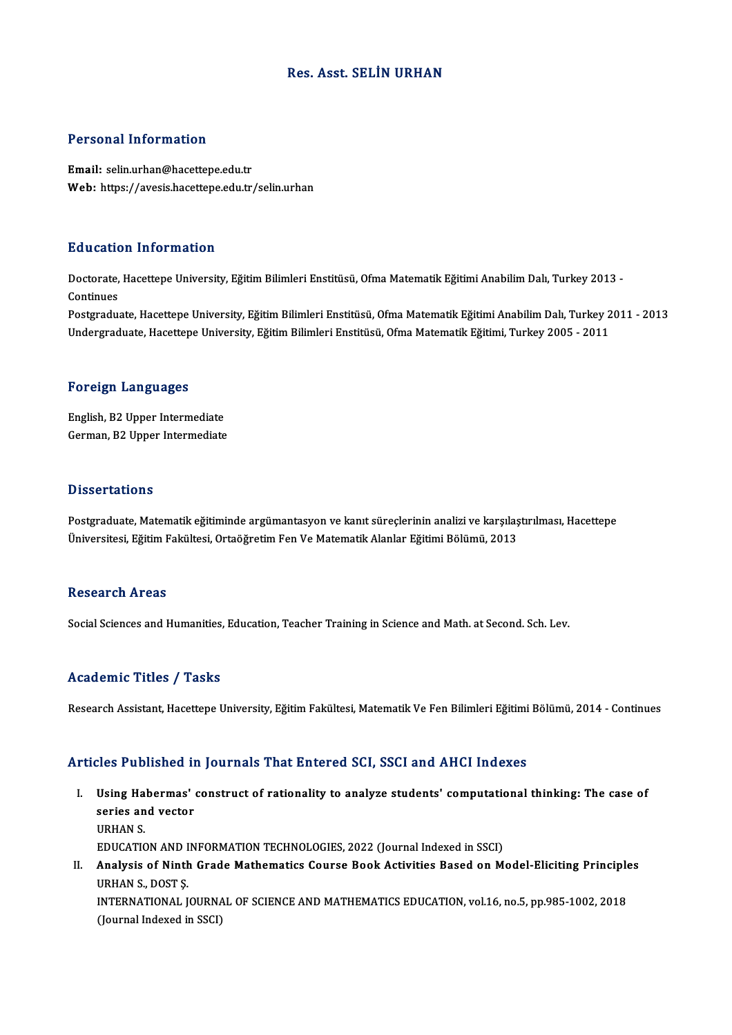## Res. Asst. SELİN URHAN

## Personal Information

Email: selin.urhan@hacettepe.edu.tr Web: https://avesis.hacettepe.edu.tr/selin.urhan

### Education Information

**Education Information**<br>Doctorate, Hacettepe University, Eğitim Bilimleri Enstitüsü, Ofma Matematik Eğitimi Anabilim Dalı, Turkey 2013 -<br>Continues Doctorate,<br>Continues<br>Postaredus Doctorate, Hacettepe University, Eğitim Bilimleri Enstitüsü, Ofma Matematik Eğitimi Anabilim Dalı, Turkey 2013<br>Continues<br>Postgraduate, Hacettepe University, Eğitim Bilimleri Enstitüsü, Ofma Matematik Eğitimi Anabilim Dalı,

Continues<br>Postgraduate, Hacettepe University, Eğitim Bilimleri Enstitüsü, Ofma Matematik Eğitimi Anabilim Dalı, Turkey 2<br>Undergraduate, Hacettepe University, Eğitim Bilimleri Enstitüsü, Ofma Matematik Eğitimi, Turkey 2005 Undergraduate, Hacettepe University, Eğitim Bilimleri Enstitüsü, Ofma Matematik Eğitimi, Turkey 2005 - 2011<br>Foreign Languages

English,B2Upper Intermediate German,B2Upper Intermediate

### **Dissertations**

Postgraduate, Matematik eğitiminde argümantasyon ve kanıt süreçlerinin analizi ve karşılaştırılması, Hacettepe Üniversitesi, Eğitim Fakültesi, Ortaöğretim Fen Ve Matematik Alanlar Eğitimi Bölümü, 2013

### Research Areas

Social Sciences and Humanities, Education, Teacher Training in Science and Math. at Second. Sch. Lev.

#### Academic Titles / Tasks

Research Assistant, Hacettepe University, Eğitim Fakültesi, Matematik Ve Fen Bilimleri Eğitimi Bölümü, 2014 - Continues

## Articles Published in Journals That Entered SCI, SSCI and AHCI Indexes

- rticles Published in Journals That Entered SCI, SSCI and AHCI Indexes<br>I. Using Habermas' construct of rationality to analyze students' computational thinking: The case of see a deficited in<br>Using Habermas'<br>series and vector<br>UDHAN S Using Ha<br>series an<br>URHAN S.<br>EDUCATIC series and vector<br>URHAN S.<br>EDUCATION AND INFORMATION TECHNOLOGIES, 2022 (Journal Indexed in SSCI)<br>Anglysis of Ninth Crade Mathematics Course Book Activities Boaed on M URHAN S.<br>EDUCATION AND INFORMATION TECHNOLOGIES, 2022 (Journal Indexed in SSCI)<br>II. Analysis of Ninth Grade Mathematics Course Book Activities Based on Model-Eliciting Principles<br>URHAN S. POST S
- EDUCATION AND I<br>Analysis of Ninth<br>URHAN S., DOST Ş.<br>INTERNATIONAL L Analysis of Ninth Grade Mathematics Course Book Activities Based on Model-Eliciting Principle<br>URHAN S., DOST Ş.<br>INTERNATIONAL JOURNAL OF SCIENCE AND MATHEMATICS EDUCATION, vol.16, no.5, pp.985-1002, 2018 URHAN S., DOST Ş.<br>INTERNATIONAL JOURNAL OF SCIENCE AND MATHEMATICS EDUCATION, vol.16, no.5, pp.985-1002, 2018<br>(Journal Indexed in SSCI)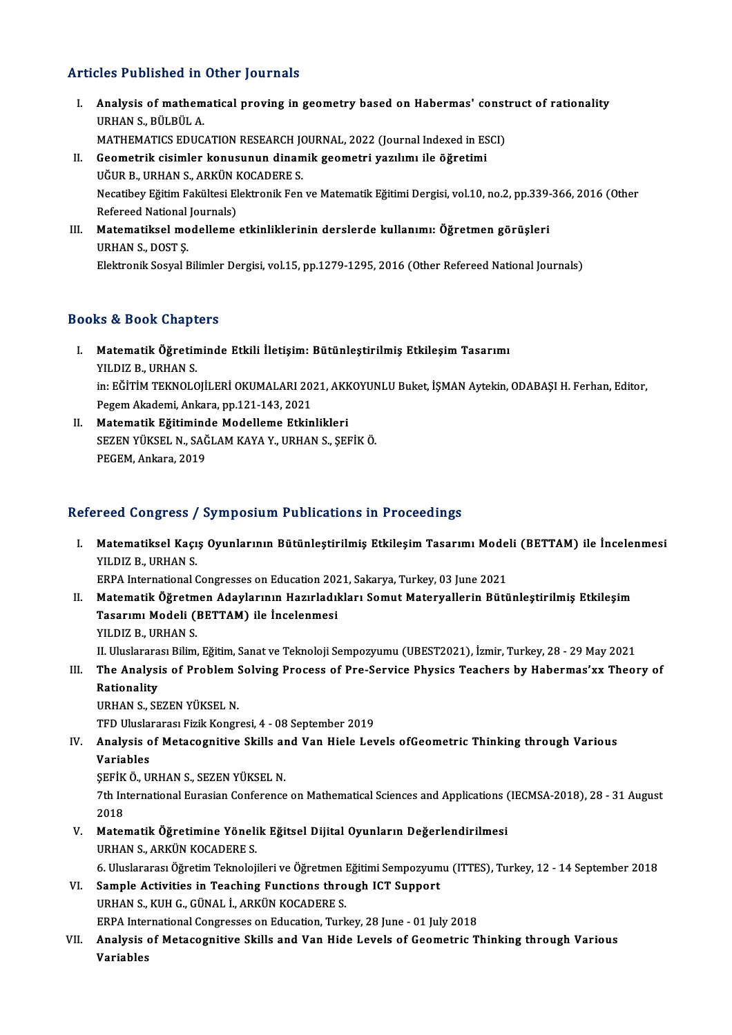# Articles Published in Other Journals

- rticles Published in Other Journals<br>I. Analysis of mathematical proving in geometry based on Habermas' construct of rationality<br>URHANS, PÜLPÜLA MOD T WENDHOW THE<br>Analysis of mathem<br>URHAN S., BÜLBÜL A.<br>MATHEMATICS EDUC Analysis of mathematical proving in geometry based on Habermas' const<br>URHAN S., BÜLBÜL A.<br>MATHEMATICS EDUCATION RESEARCH JOURNAL, 2022 (Journal Indexed in ESCI)<br>Coometrik sisimler konveynun dinamik seometri yorllmu ile õžr URHAN S., BÜLBÜL A.<br>MATHEMATICS EDUCATION RESEARCH JOURNAL, 2022 (Journal Indexed in ES<br>II. Geometrik cisimler konusunun dinamik geometri yazılımı ile öğretimi<br>UĞUP B. URHAN S. ARKÜN KOCADERE S.
- MATHEMATICS EDUCATION RESEARCH JONATHEMATICS EDUCATION RESEARCH JONATHERES.<br>UĞUR B., URHAN S., ARKÜN KOCADERE S.<br>Negatibev Eğitim Felsültesi Elektronik Fen Geometrik cisimler konusunun dinamik geometri yazılımı ile öğretimi<br>UĞUR B., URHAN S., ARKÜN KOCADERE S.<br>Necatibey Eğitim Fakültesi Elektronik Fen ve Matematik Eğitimi Dergisi, vol.10, no.2, pp.339-366, 2016 (Other<br>Referee UĞUR B., URHAN S., ARKÜN I<br>Necatibey Eğitim Fakültesi El<br>Refereed National Journals)<br>Matematikael modellame Necatibey Eğitim Fakültesi Elektronik Fen ve Matematik Eğitimi Dergisi, vol.10, no.2, pp.339-<br>Refereed National Journals)<br>III. Matematiksel modelleme etkinliklerinin derslerde kullanımı: Öğretmen görüşleri<br>III. Matematikse
- Refereed National<br>Matematiksel mo<br>URHAN S., DOST Ş.<br>Elektronik Sesual E Matematiksel modelleme etkinliklerinin derslerde kullanımı: Öğretmen görüşleri<br>URHAN S., DOST Ş.<br>Elektronik Sosyal Bilimler Dergisi, vol.15, pp.1279-1295, 2016 (Other Refereed National Journals)

Elektronik Sosyal Bilimler Dergisi, vol.15, pp.1279-1295, 2016 (Other Refereed National Journals)<br>Books & Book Chapters

- OOks & Book Chapters<br>I. Matematik Öğretiminde Etkili İletişim: Bütünleştirilmiş Etkileşim Tasarımı<br>XILDIZ B. URHAN S **Matematik Öğretin**<br>Matematik Öğretin<br>YILDIZ B., URHAN S.<br>in: Eğitim TEKNOLO Matematik Öğretiminde Etkili İletişim: Bütünleştirilmiş Etkileşim Tasarımı<br>YILDIZ B., URHAN S.<br>in: EĞİTİM TEKNOLOJİLERİ OKUMALARI 2021, AKKOYUNLU Buket, İŞMAN Aytekin, ODABAŞI H. Ferhan, Editor,<br>Pezem Akademi Ankara pp.121 YILDIZ B., URHAN S.<br>in: EĞİTİM TEKNOLOJİLERİ OKUMALARI 20.<br>Pegem Akademi, Ankara, pp.121-143, 2021<br>Matamatik, Eğitiminde Modellame, Etkin in: EĞİTİM TEKNOLOJİLERİ OKUMALARI 2021, AKK<br>Pegem Akademi, Ankara, pp.121-143, 2021<br>II. Matematik Eğitiminde Modelleme Etkinlikleri<br>SEZEN VÜKSEL N. SAĞLAM KAVA V. UPHAN S. SEL
- Pegem Akademi, Ankara, pp.121-143, 2021<br>Matematik Eğitiminde Modelleme Etkinlikleri<br>SEZEN YÜKSEL N., SAĞLAM KAYA Y., URHAN S., ŞEFİK Ö.<br>PEGEM, Ankara, 2019 Matematik Eğitimind<br>SEZEN YÜKSEL N., SAĞ<br>PEGEM, Ankara, 2019

# Refereed Congress / Symposium Publications in Proceedings

efereed Congress / Symposium Publications in Proceedings<br>I. Matematiksel Kaçış Oyunlarının Bütünleştirilmiş Etkileşim Tasarımı Modeli (BETTAM) ile İncelenmesi<br>VILDIZ B. URHAM S YOU OONG COOP<br>Matematiksel Kaçı<br>YILDIZ B., URHAN S. Matematiksel Kaçış Oyunlarının Bütünleştirilmiş Etkileşim Tasarımı Mode<br>YILDIZ B., URHAN S.<br>ERPA International Congresses on Education 2021, Sakarya, Turkey, 03 June 2021<br>Matematik Öğretmen Adevlarının Hasırladıkları Semut I . YILDIZ B., URHAN S.<br>ERPA International Congresses on Education 2021, Sakarya, Turkey, 03 June 2021<br>II. Matematik Öğretmen Adaylarının Hazırladıkları Somut Materyallerin Bütünleştirilmiş Etkileşim

ERPA International Congresses on Education 202<br>Matematik Öğretmen Adaylarının Hazırladıl<br>Tasarımı Modeli (BETTAM) ile İncelenmesi<br>VU DIZ BAUPHAN S Matematik Öğretm<br>Tasarımı Modeli (1<br>YILDIZ B., URHAN S.<br>II Hluclararası Bilim YILDIZ B., URHAN S.<br>II. Uluslararası Bilim, Eğitim, Sanat ve Teknoloji Sempozyumu (UBEST2021), İzmir, Turkey, 28 - 29 May 2021

YILDIZ B., URHAN S.<br>II. Uluslararası Bilim, Eğitim, Sanat ve Teknoloji Sempozyumu (UBEST2021), İzmir, Turkey, 28 - 29 May 2021<br>III. The Analysis of Problem Solving Process of Pre-Service Physics Teachers by Habermas'xx II Uluslarara<br><mark>The Analysi</mark><br>Rationality<br>UPHAN S. SE Rationality<br>URHAN S., SEZEN YÜKSEL N.<br>TFD Uluslararası Fizik Kongresi, 4 - 08 September 2019<br>Analysis of Matasasnitiye Skille and Van Hiale Lev

Rationality<br>URHAN S., SEZEN YÜKSEL N.

# URHAN S., SEZEN YÜKSEL N.<br>TFD Uluslararası Fizik Kongresi, 4 - 08 September 2019<br>IV. Analysis of Metacognitive Skills and Van Hiele Levels ofGeometric Thinking through Various<br>Variables TFD Uluslai<br><mark>Analysis o</mark><br>Variables<br>SEEIVÕU Analysis of Metacognitive Skills ar<br>Variables<br>ŞEFİK Ö., URHAN S., SEZEN YÜKSEL N.<br>7th International Euresian Conference

SEFİK Ö. URHAN S. SEZEN YÜKSEL N.

Variables<br>ŞEFİK Ö., URHAN S., SEZEN YÜKSEL N.<br>7th International Eurasian Conference on Mathematical Sciences and Applications (IECMSA-2018), 28 - 31 August<br>2018 7th International Eurasian Conference on Mathematical Sciences and Applications (<br>2018<br>V. Matematik Öğretimine Yönelik Eğitsel Dijital Oyunların Değerlendirilmesi<br>URHAN S. ARKÜN KOCARERES

- 2018<br>Matematik Öğretimine Yöneli<br>URHAN S., ARKÜN KOCADERE S.<br>6. Uluslarares: Öğretim Telmeleji Matematik Öğretimine Yönelik Eğitsel Dijital Oyunların Değerlendirilmesi<br>URHAN S., ARKÜN KOCADERE S.<br>6. Uluslararası Öğretim Teknolojileri ve Öğretmen Eğitimi Sempozyumu (ITTES), Turkey, 12 - 14 September 2018<br>Sample Astiv
	-
- URHAN S., ARKÜN KOCADERE S.<br>6. Uluslararası Öğretim Teknolojileri ve Öğretmen Eğitimi Sempozyum<br>VI. Sample Activities in Teaching Functions through ICT Support<br>URHAN S., KUH G., GÜNAL İ., ARKÜN KOCADERE S. 6. Uluslararası Öğretim Teknolojileri ve Öğretmen I<br>Sample Activities in Teaching Functions thro<br>URHAN S., KUH G., GÜNAL İ., ARKÜN KOCADERE S.<br>EPPA International Congresses on Education Turk Sample Activities in Teaching Functions through ICT Support<br>URHAN S., KUH G., GÜNAL İ., ARKÜN KOCADERE S.<br>ERPA International Congresses on Education, Turkey, 28 June - 01 July 2018<br>Analysis of Matasagnitive Skills and Van
- VII. Analysis of Metacognitive Skills and Van Hide Levels of Geometric Thinking through Various<br>Variables ERPA Intel<br><mark>Analysis</mark><br>Variables